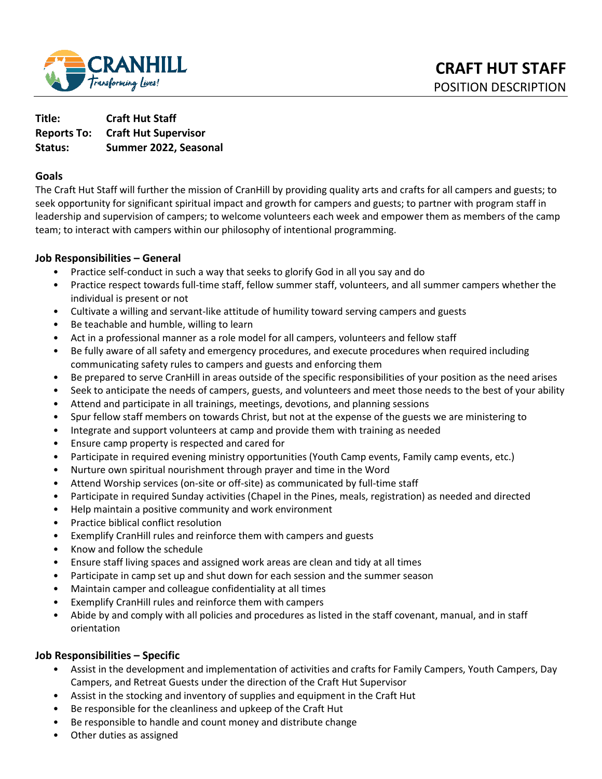

**Title: Craft Hut Staff Reports To: Craft Hut Supervisor Status: Summer 2022, Seasonal** 

### **Goals**

The Craft Hut Staff will further the mission of CranHill by providing quality arts and crafts for all campers and guests; to seek opportunity for significant spiritual impact and growth for campers and guests; to partner with program staff in leadership and supervision of campers; to welcome volunteers each week and empower them as members of the camp team; to interact with campers within our philosophy of intentional programming.

### **Job Responsibilities – General**

- Practice self-conduct in such a way that seeks to glorify God in all you say and do
- Practice respect towards full-time staff, fellow summer staff, volunteers, and all summer campers whether the individual is present or not
- Cultivate a willing and servant-like attitude of humility toward serving campers and guests
- Be teachable and humble, willing to learn
- Act in a professional manner as a role model for all campers, volunteers and fellow staff
- Be fully aware of all safety and emergency procedures, and execute procedures when required including communicating safety rules to campers and guests and enforcing them
- Be prepared to serve CranHill in areas outside of the specific responsibilities of your position as the need arises
- Seek to anticipate the needs of campers, guests, and volunteers and meet those needs to the best of your ability
- Attend and participate in all trainings, meetings, devotions, and planning sessions
- Spur fellow staff members on towards Christ, but not at the expense of the guests we are ministering to
- Integrate and support volunteers at camp and provide them with training as needed
- Ensure camp property is respected and cared for
- Participate in required evening ministry opportunities (Youth Camp events, Family camp events, etc.)
- Nurture own spiritual nourishment through prayer and time in the Word
- Attend Worship services (on-site or off-site) as communicated by full-time staff
- Participate in required Sunday activities (Chapel in the Pines, meals, registration) as needed and directed
- Help maintain a positive community and work environment
- Practice biblical conflict resolution
- Exemplify CranHill rules and reinforce them with campers and guests
- Know and follow the schedule
- Ensure staff living spaces and assigned work areas are clean and tidy at all times
- Participate in camp set up and shut down for each session and the summer season
- Maintain camper and colleague confidentiality at all times
- Exemplify CranHill rules and reinforce them with campers
- Abide by and comply with all policies and procedures as listed in the staff covenant, manual, and in staff orientation

## **Job Responsibilities – Specific**

- Assist in the development and implementation of activities and crafts for Family Campers, Youth Campers, Day Campers, and Retreat Guests under the direction of the Craft Hut Supervisor
- Assist in the stocking and inventory of supplies and equipment in the Craft Hut
- Be responsible for the cleanliness and upkeep of the Craft Hut
- Be responsible to handle and count money and distribute change
- Other duties as assigned